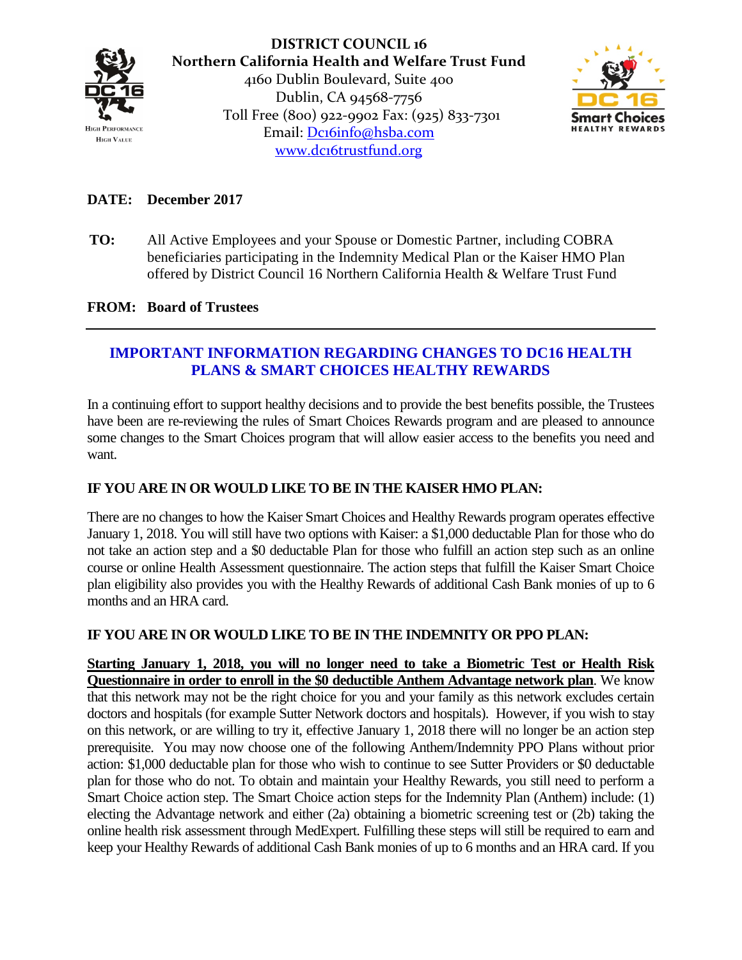

**DISTRICT COUNCIL 16 Northern California Health and Welfare Trust Fund** 4160 Dublin Boulevard, Suite 400 Dublin, CA 94568-7756 Toll Free (800) 922-9902 Fax: (925) 833-7301 Email: [Dc16info@hsba.com](mailto:Dc16info@hsba.com) [www.dc16trustfund.org](http://www.dc16trustfund.org/)



# **DATE: December 2017**

**TO:** All Active Employees and your Spouse or Domestic Partner, including COBRA beneficiaries participating in the Indemnity Medical Plan or the Kaiser HMO Plan offered by District Council 16 Northern California Health & Welfare Trust Fund

### **FROM: Board of Trustees**

# **IMPORTANT INFORMATION REGARDING CHANGES TO DC16 HEALTH PLANS & SMART CHOICES HEALTHY REWARDS**

In a continuing effort to support healthy decisions and to provide the best benefits possible, the Trustees have been are re-reviewing the rules of Smart Choices Rewards program and are pleased to announce some changes to the Smart Choices program that will allow easier access to the benefits you need and want.

## **IF YOU ARE IN OR WOULD LIKE TO BE IN THE KAISER HMO PLAN:**

There are no changes to how the Kaiser Smart Choices and Healthy Rewards program operates effective January 1, 2018. You will still have two options with Kaiser: a \$1,000 deductable Plan for those who do not take an action step and a \$0 deductable Plan for those who fulfill an action step such as an online course or online Health Assessment questionnaire. The action steps that fulfill the Kaiser Smart Choice plan eligibility also provides you with the Healthy Rewards of additional Cash Bank monies of up to 6 months and an HRA card.

### **IF YOU ARE IN OR WOULD LIKE TO BE IN THE INDEMNITY OR PPO PLAN:**

**Starting January 1, 2018, you will no longer need to take a Biometric Test or Health Risk Questionnaire in order to enroll in the \$0 deductible Anthem Advantage network plan**. We know that this network may not be the right choice for you and your family as this network excludes certain doctors and hospitals (for example Sutter Network doctors and hospitals). However, if you wish to stay on this network, or are willing to try it, effective January 1, 2018 there will no longer be an action step prerequisite. You may now choose one of the following Anthem/Indemnity PPO Plans without prior action: \$1,000 deductable plan for those who wish to continue to see Sutter Providers or \$0 deductable plan for those who do not. To obtain and maintain your Healthy Rewards, you still need to perform a Smart Choice action step. The Smart Choice action steps for the Indemnity Plan (Anthem) include: (1) electing the Advantage network and either (2a) obtaining a biometric screening test or (2b) taking the online health risk assessment through MedExpert. Fulfilling these steps will still be required to earn and keep your Healthy Rewards of additional Cash Bank monies of up to 6 months and an HRA card. If you